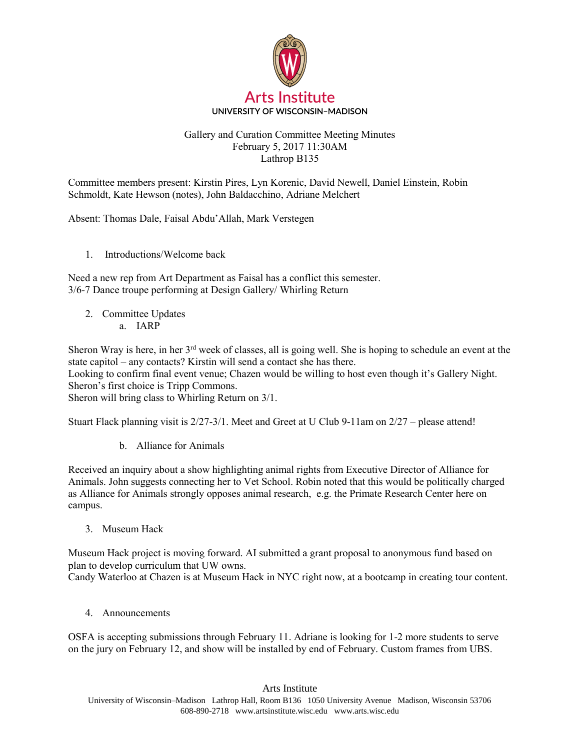

## Gallery and Curation Committee Meeting Minutes February 5, 2017 11:30AM Lathrop B135

Committee members present: Kirstin Pires, Lyn Korenic, David Newell, Daniel Einstein, Robin Schmoldt, Kate Hewson (notes), John Baldacchino, Adriane Melchert

Absent: Thomas Dale, Faisal Abdu'Allah, Mark Verstegen

1. Introductions/Welcome back

Need a new rep from Art Department as Faisal has a conflict this semester. 3/6-7 Dance troupe performing at Design Gallery/ Whirling Return

2. Committee Updates a. IARP

Sheron Wray is here, in her  $3<sup>rd</sup>$  week of classes, all is going well. She is hoping to schedule an event at the state capitol – any contacts? Kirstin will send a contact she has there.

Looking to confirm final event venue; Chazen would be willing to host even though it's Gallery Night. Sheron's first choice is Tripp Commons.

Sheron will bring class to Whirling Return on 3/1.

Stuart Flack planning visit is 2/27-3/1. Meet and Greet at U Club 9-11am on 2/27 – please attend!

b. Alliance for Animals

Received an inquiry about a show highlighting animal rights from Executive Director of Alliance for Animals. John suggests connecting her to Vet School. Robin noted that this would be politically charged as Alliance for Animals strongly opposes animal research, e.g. the Primate Research Center here on campus.

3. Museum Hack

Museum Hack project is moving forward. AI submitted a grant proposal to anonymous fund based on plan to develop curriculum that UW owns. Candy Waterloo at Chazen is at Museum Hack in NYC right now, at a bootcamp in creating tour content.

4. Announcements

OSFA is accepting submissions through February 11. Adriane is looking for 1-2 more students to serve on the jury on February 12, and show will be installed by end of February. Custom frames from UBS.

Arts Institute